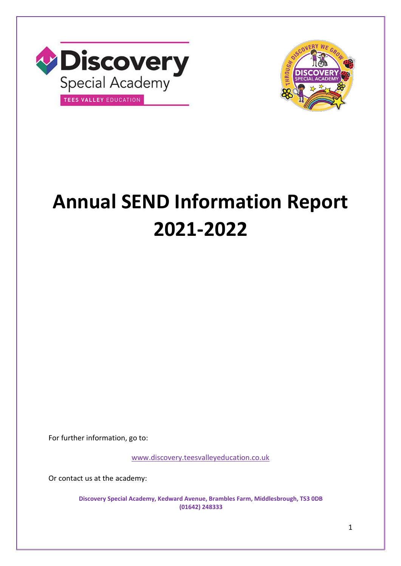



# **Annual SEND Information Report 2021-2022**

For further information, go to:

[www.discovery.teesvalleyeducation.co.uk](http://www.discovery.teesvalleyeducation.co.uk/)

Or contact us at the academy:

**Discovery Special Academy, Kedward Avenue, Brambles Farm, Middlesbrough, TS3 0DB (01642) 248333**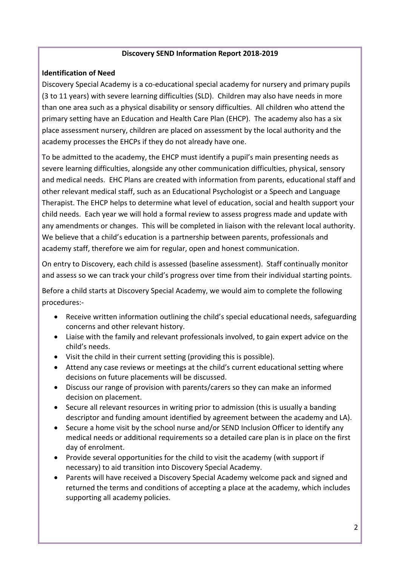#### **Discovery SEND Information Report 2018-2019**

## **Identification of Need**

Discovery Special Academy is a co-educational special academy for nursery and primary pupils (3 to 11 years) with severe learning difficulties (SLD). Children may also have needs in more than one area such as a physical disability or sensory difficulties. All children who attend the primary setting have an Education and Health Care Plan (EHCP). The academy also has a six place assessment nursery, children are placed on assessment by the local authority and the academy processes the EHCPs if they do not already have one.

To be admitted to the academy, the EHCP must identify a pupil's main presenting needs as severe learning difficulties, alongside any other communication difficulties, physical, sensory and medical needs. EHC Plans are created with information from parents, educational staff and other relevant medical staff, such as an Educational Psychologist or a Speech and Language Therapist. The EHCP helps to determine what level of education, social and health support your child needs. Each year we will hold a formal review to assess progress made and update with any amendments or changes. This will be completed in liaison with the relevant local authority. We believe that a child's education is a partnership between parents, professionals and academy staff, therefore we aim for regular, open and honest communication.

On entry to Discovery, each child is assessed (baseline assessment). Staff continually monitor and assess so we can track your child's progress over time from their individual starting points.

Before a child starts at Discovery Special Academy, we would aim to complete the following procedures:-

- Receive written information outlining the child's special educational needs, safeguarding concerns and other relevant history.
- Liaise with the family and relevant professionals involved, to gain expert advice on the child's needs.
- Visit the child in their current setting (providing this is possible).
- Attend any case reviews or meetings at the child's current educational setting where decisions on future placements will be discussed.
- Discuss our range of provision with parents/carers so they can make an informed decision on placement.
- Secure all relevant resources in writing prior to admission (this is usually a banding descriptor and funding amount identified by agreement between the academy and LA).
- Secure a home visit by the school nurse and/or SEND Inclusion Officer to identify any medical needs or additional requirements so a detailed care plan is in place on the first day of enrolment.
- Provide several opportunities for the child to visit the academy (with support if necessary) to aid transition into Discovery Special Academy.
- Parents will have received a Discovery Special Academy welcome pack and signed and returned the terms and conditions of accepting a place at the academy, which includes supporting all academy policies.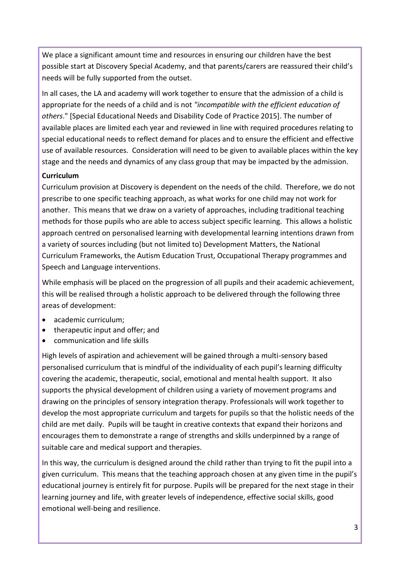We place a significant amount time and resources in ensuring our children have the best possible start at Discovery Special Academy, and that parents/carers are reassured their child's needs will be fully supported from the outset.

In all cases, the LA and academy will work together to ensure that the admission of a child is appropriate for the needs of a child and is not *"incompatible with the efficient education of others*." [Special Educational Needs and Disability Code of Practice 2015]. The number of available places are limited each year and reviewed in line with required procedures relating to special educational needs to reflect demand for places and to ensure the efficient and effective use of available resources. Consideration will need to be given to available places within the key stage and the needs and dynamics of any class group that may be impacted by the admission.

# **Curriculum**

Curriculum provision at Discovery is dependent on the needs of the child. Therefore, we do not prescribe to one specific teaching approach, as what works for one child may not work for another. This means that we draw on a variety of approaches, including traditional teaching methods for those pupils who are able to access subject specific learning. This allows a holistic approach centred on personalised learning with developmental learning intentions drawn from a variety of sources including (but not limited to) Development Matters, the National Curriculum Frameworks, the Autism Education Trust, Occupational Therapy programmes and Speech and Language interventions.

While emphasis will be placed on the progression of all pupils and their academic achievement, this will be realised through a holistic approach to be delivered through the following three areas of development:

- academic curriculum;
- therapeutic input and offer; and
- communication and life skills

High levels of aspiration and achievement will be gained through a multi-sensory based personalised curriculum that is mindful of the individuality of each pupil's learning difficulty covering the academic, therapeutic, social, emotional and mental health support. It also supports the physical development of children using a variety of movement programs and drawing on the principles of sensory integration therapy. Professionals will work together to develop the most appropriate curriculum and targets for pupils so that the holistic needs of the child are met daily. Pupils will be taught in creative contexts that expand their horizons and encourages them to demonstrate a range of strengths and skills underpinned by a range of suitable care and medical support and therapies.

In this way, the curriculum is designed around the child rather than trying to fit the pupil into a given curriculum. This means that the teaching approach chosen at any given time in the pupil's educational journey is entirely fit for purpose. Pupils will be prepared for the next stage in their learning journey and life, with greater levels of independence, effective social skills, good emotional well-being and resilience.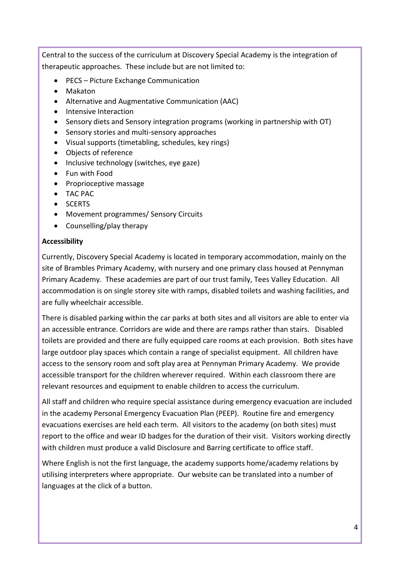Central to the success of the curriculum at Discovery Special Academy is the integration of therapeutic approaches. These include but are not limited to:

- PECS Picture Exchange Communication
- Makaton
- Alternative and Augmentative Communication (AAC)
- Intensive Interaction
- Sensory diets and Sensory integration programs (working in partnership with OT)
- Sensory stories and multi-sensory approaches
- Visual supports (timetabling, schedules, key rings)
- Objects of reference
- Inclusive technology (switches, eye gaze)
- Fun with Food
- Proprioceptive massage
- TAC PAC
- SCERTS
- Movement programmes/ Sensory Circuits
- Counselling/play therapy

### **Accessibility**

Currently, Discovery Special Academy is located in temporary accommodation, mainly on the site of Brambles Primary Academy, with nursery and one primary class housed at Pennyman Primary Academy. These academies are part of our trust family, Tees Valley Education. All accommodation is on single storey site with ramps, disabled toilets and washing facilities, and are fully wheelchair accessible.

There is disabled parking within the car parks at both sites and all visitors are able to enter via an accessible entrance. Corridors are wide and there are ramps rather than stairs. Disabled toilets are provided and there are fully equipped care rooms at each provision. Both sites have large outdoor play spaces which contain a range of specialist equipment. All children have access to the sensory room and soft play area at Pennyman Primary Academy. We provide accessible transport for the children wherever required. Within each classroom there are relevant resources and equipment to enable children to access the curriculum.

All staff and children who require special assistance during emergency evacuation are included in the academy Personal Emergency Evacuation Plan (PEEP). Routine fire and emergency evacuations exercises are held each term. All visitors to the academy (on both sites) must report to the office and wear ID badges for the duration of their visit. Visitors working directly with children must produce a valid Disclosure and Barring certificate to office staff.

Where English is not the first language, the academy supports home/academy relations by utilising interpreters where appropriate. Our website can be translated into a number of languages at the click of a button.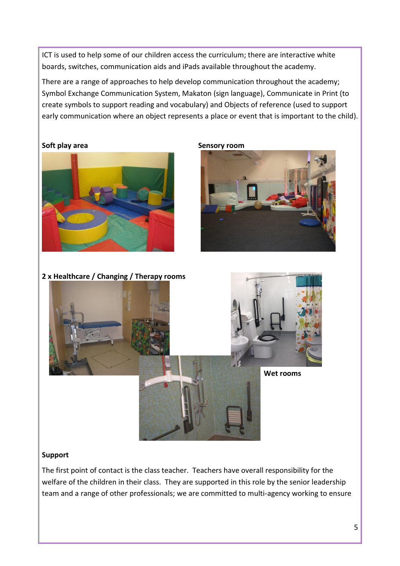ICT is used to help some of our children access the curriculum; there are interactive white boards, switches, communication aids and iPads available throughout the academy.

There are a range of approaches to help develop communication throughout the academy; Symbol Exchange Communication System, Makaton (sign language), Communicate in Print (to create symbols to support reading and vocabulary) and Objects of reference (used to support early communication where an object represents a place or event that is important to the child).

#### **Soft play area Sensory room**







#### **Support**

The first point of contact is the class teacher. Teachers have overall responsibility for the welfare of the children in their class. They are supported in this role by the senior leadership team and a range of other professionals; we are committed to multi-agency working to ensure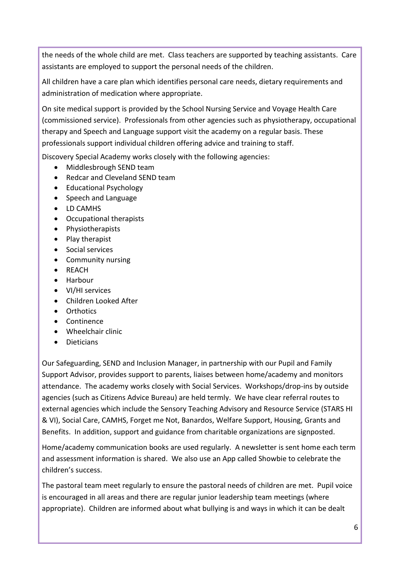the needs of the whole child are met. Class teachers are supported by teaching assistants. Care assistants are employed to support the personal needs of the children.

All children have a care plan which identifies personal care needs, dietary requirements and administration of medication where appropriate.

On site medical support is provided by the School Nursing Service and Voyage Health Care (commissioned service). Professionals from other agencies such as physiotherapy, occupational therapy and Speech and Language support visit the academy on a regular basis. These professionals support individual children offering advice and training to staff.

Discovery Special Academy works closely with the following agencies:

- Middlesbrough SEND team
- Redcar and Cleveland SEND team
- Educational Psychology
- Speech and Language
- LD CAMHS
- Occupational therapists
- Physiotherapists
- $\bullet$  Play therapist
- Social services
- Community nursing
- REACH
- Harbour
- VI/HI services
- Children Looked After
- Orthotics
- Continence
- Wheelchair clinic
- Dieticians

Our Safeguarding, SEND and Inclusion Manager, in partnership with our Pupil and Family Support Advisor, provides support to parents, liaises between home/academy and monitors attendance. The academy works closely with Social Services. Workshops/drop-ins by outside agencies (such as Citizens Advice Bureau) are held termly. We have clear referral routes to external agencies which include the Sensory Teaching Advisory and Resource Service (STARS HI & VI), Social Care, CAMHS, Forget me Not, Banardos, Welfare Support, Housing, Grants and Benefits. In addition, support and guidance from charitable organizations are signposted.

Home/academy communication books are used regularly. A newsletter is sent home each term and assessment information is shared. We also use an App called Showbie to celebrate the children's success.

The pastoral team meet regularly to ensure the pastoral needs of children are met. Pupil voice is encouraged in all areas and there are regular junior leadership team meetings (where appropriate). Children are informed about what bullying is and ways in which it can be dealt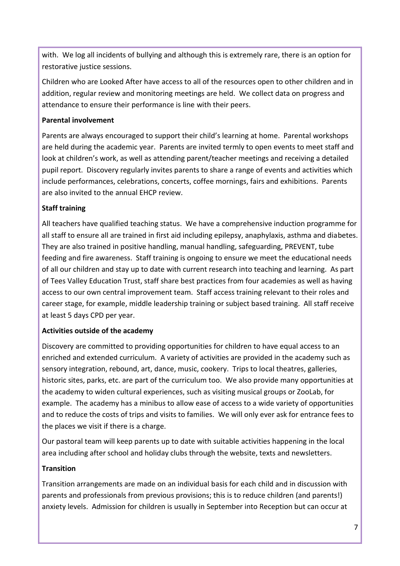with. We log all incidents of bullying and although this is extremely rare, there is an option for restorative justice sessions.

Children who are Looked After have access to all of the resources open to other children and in addition, regular review and monitoring meetings are held. We collect data on progress and attendance to ensure their performance is line with their peers.

## **Parental involvement**

Parents are always encouraged to support their child's learning at home. Parental workshops are held during the academic year. Parents are invited termly to open events to meet staff and look at children's work, as well as attending parent/teacher meetings and receiving a detailed pupil report. Discovery regularly invites parents to share a range of events and activities which include performances, celebrations, concerts, coffee mornings, fairs and exhibitions. Parents are also invited to the annual EHCP review.

# **Staff training**

All teachers have qualified teaching status. We have a comprehensive induction programme for all staff to ensure all are trained in first aid including epilepsy, anaphylaxis, asthma and diabetes. They are also trained in positive handling, manual handling, safeguarding, PREVENT, tube feeding and fire awareness. Staff training is ongoing to ensure we meet the educational needs of all our children and stay up to date with current research into teaching and learning. As part of Tees Valley Education Trust, staff share best practices from four academies as well as having access to our own central improvement team. Staff access training relevant to their roles and career stage, for example, middle leadership training or subject based training. All staff receive at least 5 days CPD per year.

# **Activities outside of the academy**

Discovery are committed to providing opportunities for children to have equal access to an enriched and extended curriculum. A variety of activities are provided in the academy such as sensory integration, rebound, art, dance, music, cookery. Trips to local theatres, galleries, historic sites, parks, etc. are part of the curriculum too. We also provide many opportunities at the academy to widen cultural experiences, such as visiting musical groups or ZooLab, for example. The academy has a minibus to allow ease of access to a wide variety of opportunities and to reduce the costs of trips and visits to families. We will only ever ask for entrance fees to the places we visit if there is a charge.

Our pastoral team will keep parents up to date with suitable activities happening in the local area including after school and holiday clubs through the website, texts and newsletters.

# **Transition**

Transition arrangements are made on an individual basis for each child and in discussion with parents and professionals from previous provisions; this is to reduce children (and parents!) anxiety levels. Admission for children is usually in September into Reception but can occur at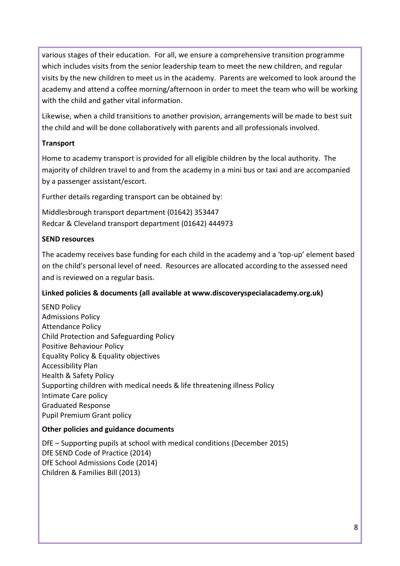various stages of their education. For all, we ensure a comprehensive transition programme which includes visits from the senior leadership team to meet the new children, and regular visits by the new children to meet us in the academy. Parents are welcomed to look around the academy and attend a coffee morning/afternoon in order to meet the team who will be working with the child and gather vital information.

Likewise, when a child transitions to another provision, arrangements will be made to best suit the child and will be done collaboratively with parents and all professionals involved.

### **Transport**

Home to academy transport is provided for all eligible children by the local authority. The majority of children travel to and from the academy in a mini bus or taxi and are accompanied by a passenger assistant/escort.

Further details regarding transport can be obtained by:

Middlesbrough transport department (01642) 353447 Redcar & Cleveland transport department (01642) 444973

## **SEND resources**

The academy receives base funding for each child in the academy and a 'top-up' element based on the child's personal level of need. Resources are allocated according to the assessed need and is reviewed on a regular basis.

# **Linked policies & documents (all available at www.discoveryspecialacademy.org.uk)**

SEND Policy Admissions Policy Attendance Policy Child Protection and Safeguarding Policy Positive Behaviour Policy Equality Policy & Equality objectives Accessibility Plan Health & Safety Policy Supporting children with medical needs & life threatening illness Policy Intimate Care policy Graduated Response Pupil Premium Grant policy

### **Other policies and guidance documents**

DfE – Supporting pupils at school with medical conditions (December 2015) DfE SEND Code of Practice (2014) DfE School Admissions Code (2014) Children & Families Bill (2013)